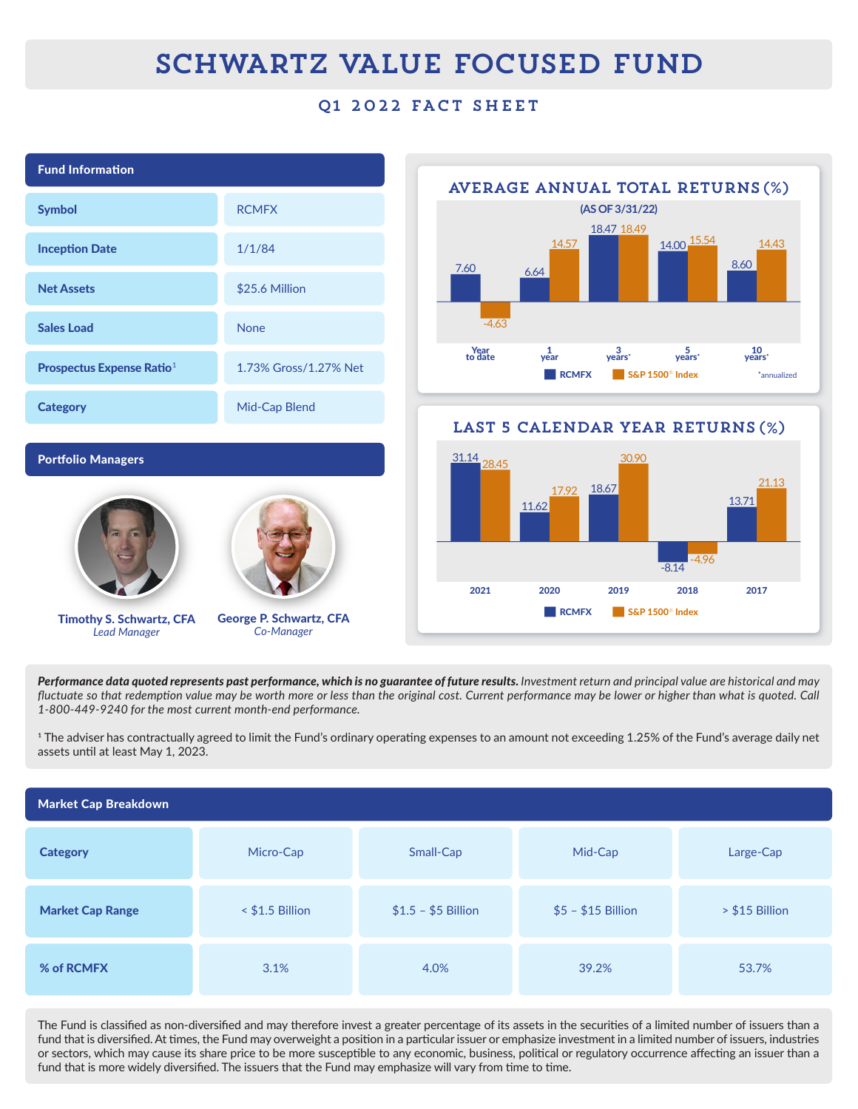## SCHWARTZ VALUE FOCUSED FUND

### Q1 2022 FACT SHEET



*Performance data quoted represents past performance, which is no guarantee of future results. Investment return and principal value are historical and may*  fluctuate so that redemption value may be worth more or less than the original cost. Current performance may be lower or higher than what is quoted. Call *ƎňѴƍƍňƑƑƔňƔƏƑƍ-=ou-|\_;-lov|-1uu;m|-lom|\_ň;m7-r;u=oul-m1;ĸ*

 $^{\rm 1}$  The adviser has contractually agreed to limit the Fund's ordinary operating expenses to an amount not exceeding 1.25% of the Fund's average daily net assets until at least May 1, 2023.

| <b>Market Cap Breakdown</b> |                   |                     |                    |                |  |
|-----------------------------|-------------------|---------------------|--------------------|----------------|--|
| <b>Category</b>             | Micro-Cap         | Small-Cap           | Mid-Cap            | Large-Cap      |  |
| <b>Market Cap Range</b>     | $<$ \$1.5 Billion | $$1.5 - $5$ Billion | $$5 - $15$ Billion | > \$15 Billion |  |
| % of RCMFX                  | 3.1%              | 4.0%                | 39.2%              | 53.7%          |  |

The Fund is classified as non-diversified and may therefore invest a greater percentage of its assets in the securities of a limited number of issuers than a fund that is diversified. At times, the Fund may overweight a position in a particular issuer or emphasize investment in a limited number of issuers, industries or sectors, which may cause its share price to be more susceptible to any economic, business, political or regulatory occurrence affecting an issuer than a fund that is more widely diversified. The issuers that the Fund may emphasize will vary from time to time.